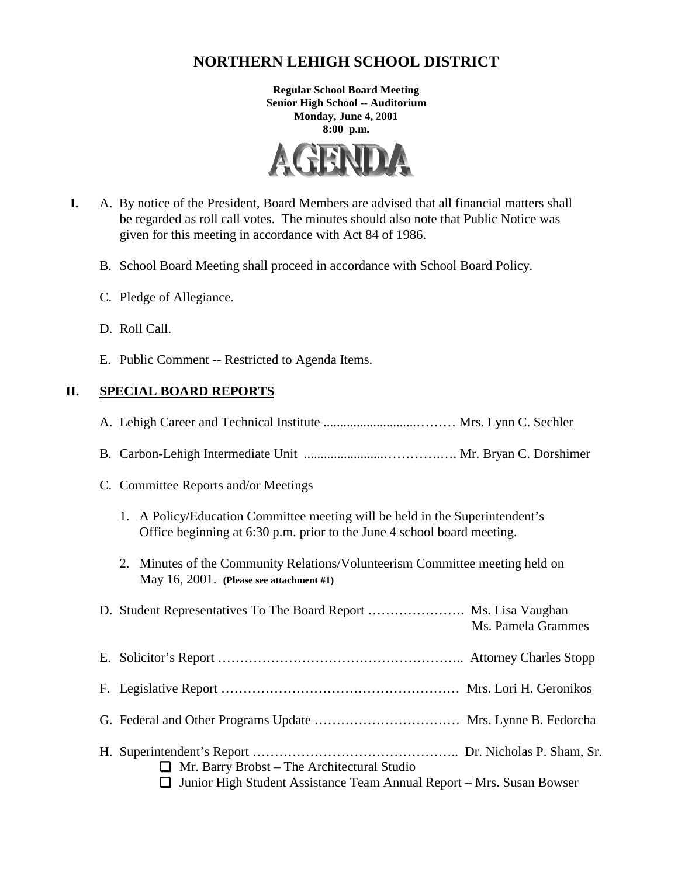# **NORTHERN LEHIGH SCHOOL DISTRICT**

**Regular School Board Meeting Senior High School -- Auditorium Monday, June 4, 2001 8:00 p.m.**



- **I.** A. By notice of the President, Board Members are advised that all financial matters shall be regarded as roll call votes. The minutes should also note that Public Notice was given for this meeting in accordance with Act 84 of 1986.
	- B. School Board Meeting shall proceed in accordance with School Board Policy.
	- C. Pledge of Allegiance.
	- D. Roll Call.
	- E. Public Comment -- Restricted to Agenda Items.

# **II. SPECIAL BOARD REPORTS**

|--|--|--|--|--|--|--|

- B. Carbon-Lehigh Intermediate Unit ........................………….…. Mr. Bryan C. Dorshimer
- C. Committee Reports and/or Meetings
	- 1. A Policy/Education Committee meeting will be held in the Superintendent's Office beginning at 6:30 p.m. prior to the June 4 school board meeting.
	- 2. Minutes of the Community Relations/Volunteerism Committee meeting held on May 16, 2001. **(Please see attachment #1)**

|                                                                                                                                    | Ms. Pamela Grammes |
|------------------------------------------------------------------------------------------------------------------------------------|--------------------|
|                                                                                                                                    |                    |
|                                                                                                                                    |                    |
|                                                                                                                                    |                    |
| $\Box$ Mr. Barry Brobst – The Architectural Studio<br>$\Box$ Junior High Student Assistance Team Annual Report – Mrs. Susan Bowser |                    |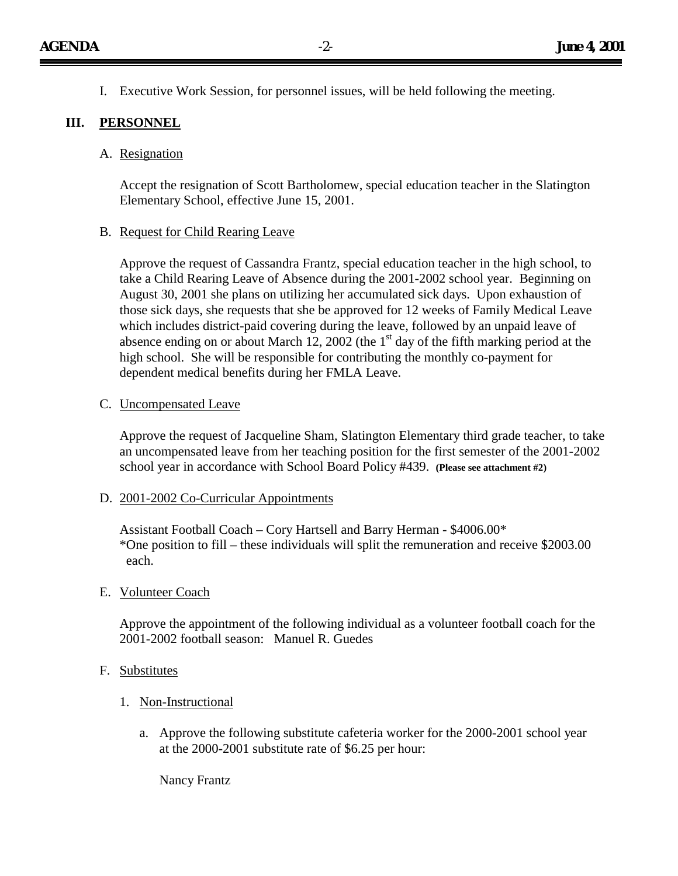I. Executive Work Session, for personnel issues, will be held following the meeting.

# **III. PERSONNEL**

### A. Resignation

Accept the resignation of Scott Bartholomew, special education teacher in the Slatington Elementary School, effective June 15, 2001.

### B. Request for Child Rearing Leave

Approve the request of Cassandra Frantz, special education teacher in the high school, to take a Child Rearing Leave of Absence during the 2001-2002 school year. Beginning on August 30, 2001 she plans on utilizing her accumulated sick days. Upon exhaustion of those sick days, she requests that she be approved for 12 weeks of Family Medical Leave which includes district-paid covering during the leave, followed by an unpaid leave of absence ending on or about March 12, 2002 (the  $1<sup>st</sup>$  day of the fifth marking period at the high school. She will be responsible for contributing the monthly co-payment for dependent medical benefits during her FMLA Leave.

### C. Uncompensated Leave

Approve the request of Jacqueline Sham, Slatington Elementary third grade teacher, to take an uncompensated leave from her teaching position for the first semester of the 2001-2002 school year in accordance with School Board Policy #439. **(Please see attachment #2)**

### D. 2001-2002 Co-Curricular Appointments

Assistant Football Coach – Cory Hartsell and Barry Herman - \$4006.00\* \*One position to fill – these individuals will split the remuneration and receive \$2003.00 each.

### E. Volunteer Coach

Approve the appointment of the following individual as a volunteer football coach for the 2001-2002 football season: Manuel R. Guedes

### F. Substitutes

- 1. Non-Instructional
	- a. Approve the following substitute cafeteria worker for the 2000-2001 school year at the 2000-2001 substitute rate of \$6.25 per hour:

Nancy Frantz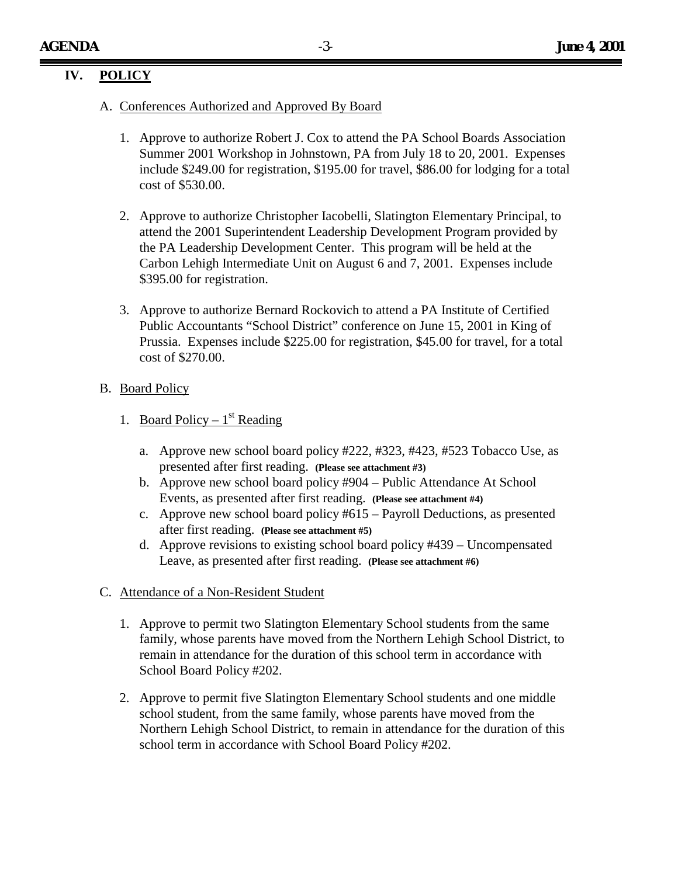# **IV. POLICY**

- A. Conferences Authorized and Approved By Board
	- 1. Approve to authorize Robert J. Cox to attend the PA School Boards Association Summer 2001 Workshop in Johnstown, PA from July 18 to 20, 2001. Expenses include \$249.00 for registration, \$195.00 for travel, \$86.00 for lodging for a total cost of \$530.00.
	- 2. Approve to authorize Christopher Iacobelli, Slatington Elementary Principal, to attend the 2001 Superintendent Leadership Development Program provided by the PA Leadership Development Center. This program will be held at the Carbon Lehigh Intermediate Unit on August 6 and 7, 2001. Expenses include \$395.00 for registration.
	- 3. Approve to authorize Bernard Rockovich to attend a PA Institute of Certified Public Accountants "School District" conference on June 15, 2001 in King of Prussia. Expenses include \$225.00 for registration, \$45.00 for travel, for a total cost of \$270.00.

# B. Board Policy

- 1. Board Policy  $1<sup>st</sup>$  Reading
	- a. Approve new school board policy #222, #323, #423, #523 Tobacco Use, as presented after first reading. **(Please see attachment #3)**
	- b. Approve new school board policy #904 Public Attendance At School Events, as presented after first reading. **(Please see attachment #4)**
	- c. Approve new school board policy #615 Payroll Deductions, as presented after first reading. **(Please see attachment #5)**
	- d. Approve revisions to existing school board policy #439 Uncompensated Leave, as presented after first reading. **(Please see attachment #6)**

### C. Attendance of a Non-Resident Student

- 1. Approve to permit two Slatington Elementary School students from the same family, whose parents have moved from the Northern Lehigh School District, to remain in attendance for the duration of this school term in accordance with School Board Policy #202.
- 2. Approve to permit five Slatington Elementary School students and one middle school student, from the same family, whose parents have moved from the Northern Lehigh School District, to remain in attendance for the duration of this school term in accordance with School Board Policy #202.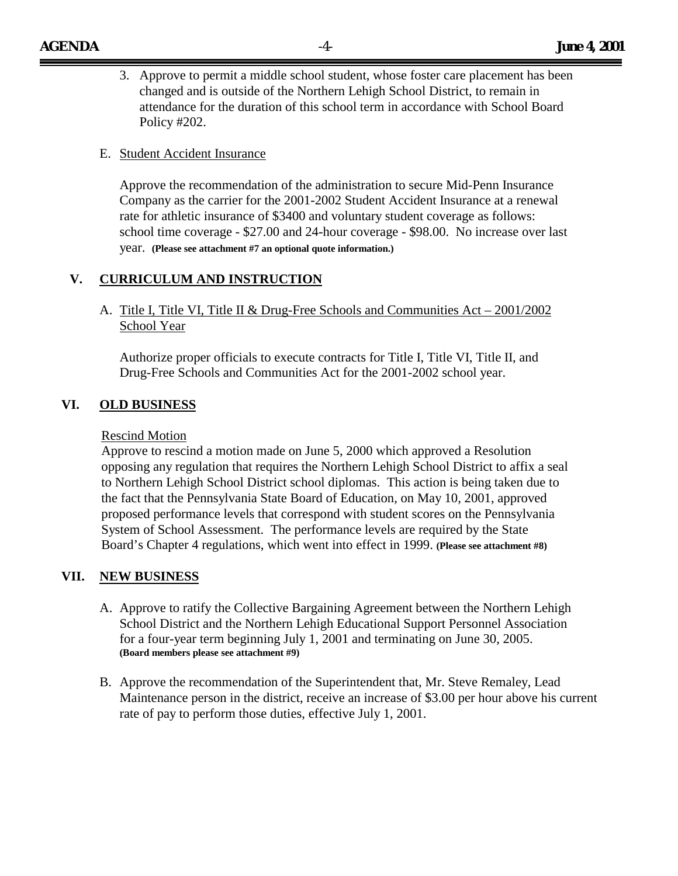3. Approve to permit a middle school student, whose foster care placement has been changed and is outside of the Northern Lehigh School District, to remain in attendance for the duration of this school term in accordance with School Board Policy #202.

### E. Student Accident Insurance

Approve the recommendation of the administration to secure Mid-Penn Insurance Company as the carrier for the 2001-2002 Student Accident Insurance at a renewal rate for athletic insurance of \$3400 and voluntary student coverage as follows: school time coverage - \$27.00 and 24-hour coverage - \$98.00. No increase over last year. **(Please see attachment #7 an optional quote information.)**

### **V. CURRICULUM AND INSTRUCTION**

# A. Title I, Title VI, Title II & Drug-Free Schools and Communities Act – 2001/2002 School Year

Authorize proper officials to execute contracts for Title I, Title VI, Title II, and Drug-Free Schools and Communities Act for the 2001-2002 school year.

### **VI. OLD BUSINESS**

#### Rescind Motion

Approve to rescind a motion made on June 5, 2000 which approved a Resolution opposing any regulation that requires the Northern Lehigh School District to affix a seal to Northern Lehigh School District school diplomas. This action is being taken due to the fact that the Pennsylvania State Board of Education, on May 10, 2001, approved proposed performance levels that correspond with student scores on the Pennsylvania System of School Assessment. The performance levels are required by the State Board's Chapter 4 regulations, which went into effect in 1999. **(Please see attachment #8)**

#### **VII. NEW BUSINESS**

- A. Approve to ratify the Collective Bargaining Agreement between the Northern Lehigh School District and the Northern Lehigh Educational Support Personnel Association for a four-year term beginning July 1, 2001 and terminating on June 30, 2005. **(Board members please see attachment #9)**
- B. Approve the recommendation of the Superintendent that, Mr. Steve Remaley, Lead Maintenance person in the district, receive an increase of \$3.00 per hour above his current rate of pay to perform those duties, effective July 1, 2001.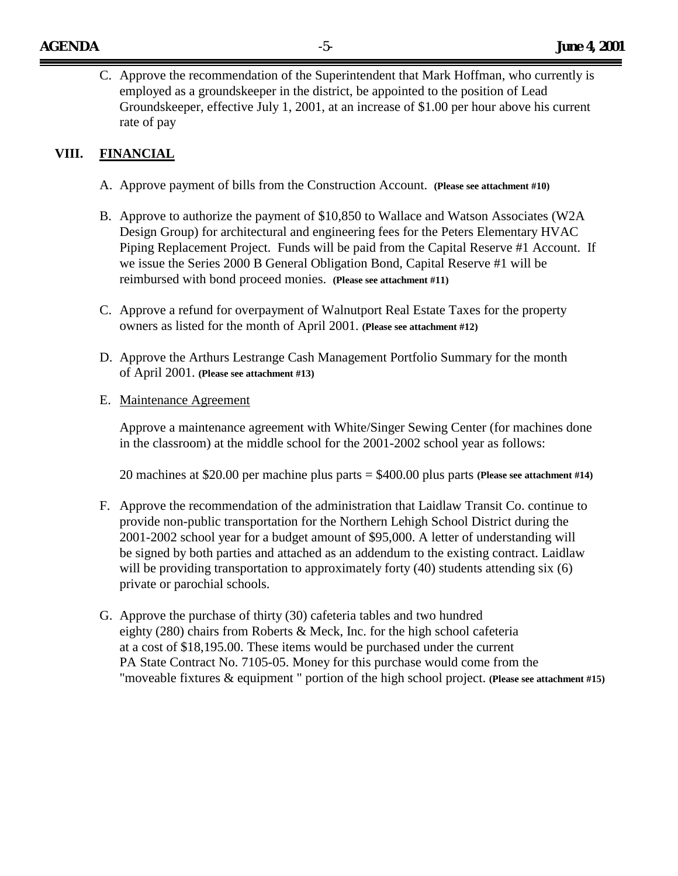C. Approve the recommendation of the Superintendent that Mark Hoffman, who currently is employed as a groundskeeper in the district, be appointed to the position of Lead Groundskeeper, effective July 1, 2001, at an increase of \$1.00 per hour above his current rate of pay

# **VIII. FINANCIAL**

- A. Approve payment of bills from the Construction Account. **(Please see attachment #10)**
- B. Approve to authorize the payment of \$10,850 to Wallace and Watson Associates (W2A Design Group) for architectural and engineering fees for the Peters Elementary HVAC Piping Replacement Project. Funds will be paid from the Capital Reserve #1 Account. If we issue the Series 2000 B General Obligation Bond, Capital Reserve #1 will be reimbursed with bond proceed monies. **(Please see attachment #11)**
- C. Approve a refund for overpayment of Walnutport Real Estate Taxes for the property owners as listed for the month of April 2001. **(Please see attachment #12)**
- D. Approve the Arthurs Lestrange Cash Management Portfolio Summary for the month of April 2001. **(Please see attachment #13)**
- E. Maintenance Agreement

Approve a maintenance agreement with White/Singer Sewing Center (for machines done in the classroom) at the middle school for the 2001-2002 school year as follows:

20 machines at \$20.00 per machine plus parts = \$400.00 plus parts **(Please see attachment #14)**

- F. Approve the recommendation of the administration that Laidlaw Transit Co. continue to provide non-public transportation for the Northern Lehigh School District during the 2001-2002 school year for a budget amount of \$95,000. A letter of understanding will be signed by both parties and attached as an addendum to the existing contract. Laidlaw will be providing transportation to approximately forty (40) students attending six (6) private or parochial schools.
- G. Approve the purchase of thirty (30) cafeteria tables and two hundred eighty (280) chairs from Roberts & Meck, Inc. for the high school cafeteria at a cost of \$18,195.00. These items would be purchased under the current PA State Contract No. 7105-05. Money for this purchase would come from the "moveable fixtures & equipment " portion of the high school project. **(Please see attachment #15)**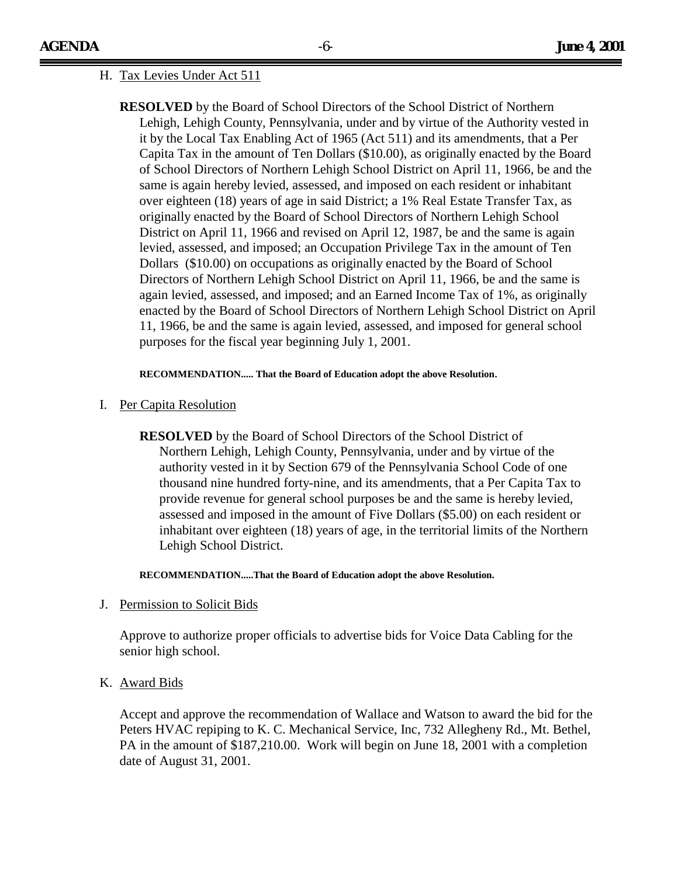#### H. Tax Levies Under Act 511

**RESOLVED** by the Board of School Directors of the School District of Northern Lehigh, Lehigh County, Pennsylvania, under and by virtue of the Authority vested in it by the Local Tax Enabling Act of 1965 (Act 511) and its amendments, that a Per Capita Tax in the amount of Ten Dollars (\$10.00), as originally enacted by the Board of School Directors of Northern Lehigh School District on April 11, 1966, be and the same is again hereby levied, assessed, and imposed on each resident or inhabitant over eighteen (18) years of age in said District; a 1% Real Estate Transfer Tax, as originally enacted by the Board of School Directors of Northern Lehigh School District on April 11, 1966 and revised on April 12, 1987, be and the same is again levied, assessed, and imposed; an Occupation Privilege Tax in the amount of Ten Dollars (\$10.00) on occupations as originally enacted by the Board of School Directors of Northern Lehigh School District on April 11, 1966, be and the same is again levied, assessed, and imposed; and an Earned Income Tax of 1%, as originally enacted by the Board of School Directors of Northern Lehigh School District on April 11, 1966, be and the same is again levied, assessed, and imposed for general school purposes for the fiscal year beginning July 1, 2001.

#### **RECOMMENDATION..... That the Board of Education adopt the above Resolution**.

#### I. Per Capita Resolution

**RESOLVED** by the Board of School Directors of the School District of Northern Lehigh, Lehigh County, Pennsylvania, under and by virtue of the authority vested in it by Section 679 of the Pennsylvania School Code of one thousand nine hundred forty-nine, and its amendments, that a Per Capita Tax to provide revenue for general school purposes be and the same is hereby levied, assessed and imposed in the amount of Five Dollars (\$5.00) on each resident or inhabitant over eighteen (18) years of age, in the territorial limits of the Northern Lehigh School District.

**RECOMMENDATION.....That the Board of Education adopt the above Resolution.**

J. Permission to Solicit Bids

Approve to authorize proper officials to advertise bids for Voice Data Cabling for the senior high school.

K. Award Bids

Accept and approve the recommendation of Wallace and Watson to award the bid for the Peters HVAC repiping to K. C. Mechanical Service, Inc, 732 Allegheny Rd., Mt. Bethel, PA in the amount of \$187,210.00. Work will begin on June 18, 2001 with a completion date of August 31, 2001.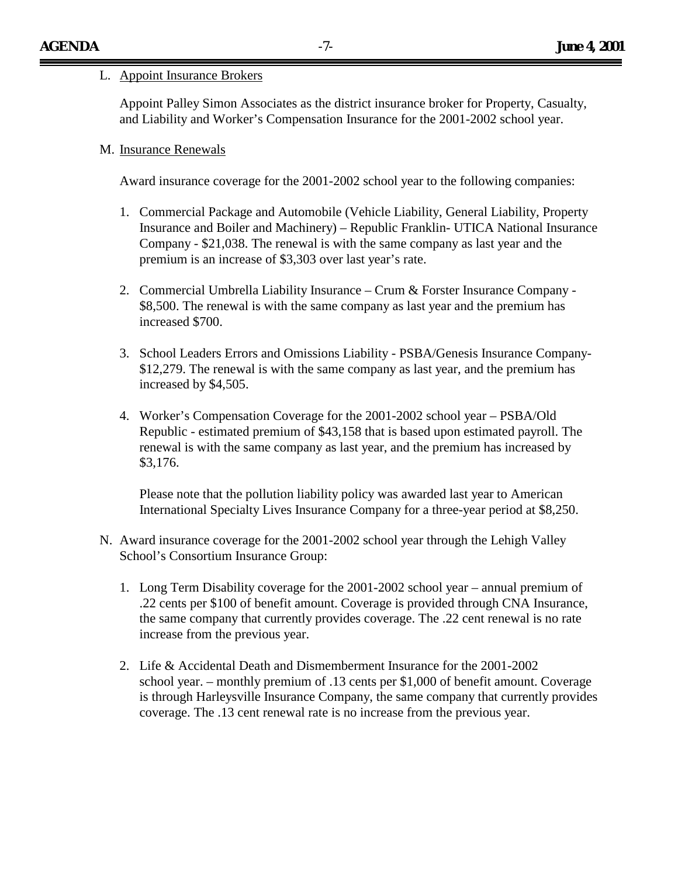#### L. Appoint Insurance Brokers

Appoint Palley Simon Associates as the district insurance broker for Property, Casualty, and Liability and Worker's Compensation Insurance for the 2001-2002 school year.

#### M. Insurance Renewals

Award insurance coverage for the 2001-2002 school year to the following companies:

- 1. Commercial Package and Automobile (Vehicle Liability, General Liability, Property Insurance and Boiler and Machinery) – Republic Franklin- UTICA National Insurance Company - \$21,038. The renewal is with the same company as last year and the premium is an increase of \$3,303 over last year's rate.
- 2. Commercial Umbrella Liability Insurance Crum & Forster Insurance Company \$8,500. The renewal is with the same company as last year and the premium has increased \$700.
- 3. School Leaders Errors and Omissions Liability PSBA/Genesis Insurance Company- \$12,279. The renewal is with the same company as last year, and the premium has increased by \$4,505.
- 4. Worker's Compensation Coverage for the 2001-2002 school year PSBA/Old Republic - estimated premium of \$43,158 that is based upon estimated payroll. The renewal is with the same company as last year, and the premium has increased by \$3,176.

Please note that the pollution liability policy was awarded last year to American International Specialty Lives Insurance Company for a three-year period at \$8,250.

- N. Award insurance coverage for the 2001-2002 school year through the Lehigh Valley School's Consortium Insurance Group:
	- 1. Long Term Disability coverage for the 2001-2002 school year annual premium of .22 cents per \$100 of benefit amount. Coverage is provided through CNA Insurance, the same company that currently provides coverage. The .22 cent renewal is no rate increase from the previous year.
	- 2. Life & Accidental Death and Dismemberment Insurance for the 2001-2002 school year. – monthly premium of .13 cents per \$1,000 of benefit amount. Coverage is through Harleysville Insurance Company, the same company that currently provides coverage. The .13 cent renewal rate is no increase from the previous year.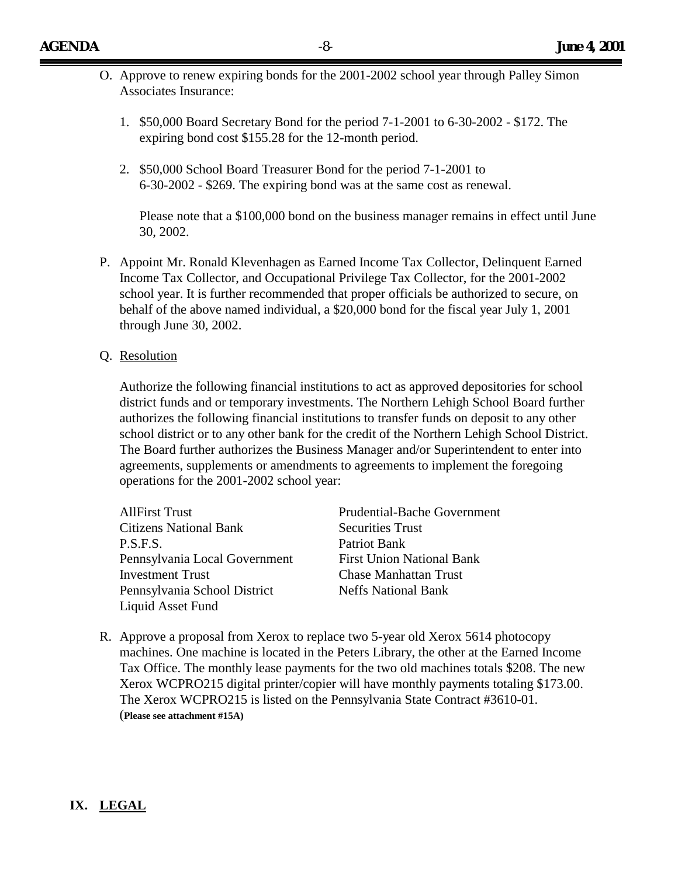- O. Approve to renew expiring bonds for the 2001-2002 school year through Palley Simon Associates Insurance:
	- 1. \$50,000 Board Secretary Bond for the period 7-1-2001 to 6-30-2002 \$172. The expiring bond cost \$155.28 for the 12-month period.
	- 2. \$50,000 School Board Treasurer Bond for the period 7-1-2001 to 6-30-2002 - \$269. The expiring bond was at the same cost as renewal.

Please note that a \$100,000 bond on the business manager remains in effect until June 30, 2002.

- P. Appoint Mr. Ronald Klevenhagen as Earned Income Tax Collector, Delinquent Earned Income Tax Collector, and Occupational Privilege Tax Collector, for the 2001-2002 school year. It is further recommended that proper officials be authorized to secure, on behalf of the above named individual, a \$20,000 bond for the fiscal year July 1, 2001 through June 30, 2002.
- Q. Resolution

Authorize the following financial institutions to act as approved depositories for school district funds and or temporary investments. The Northern Lehigh School Board further authorizes the following financial institutions to transfer funds on deposit to any other school district or to any other bank for the credit of the Northern Lehigh School District. The Board further authorizes the Business Manager and/or Superintendent to enter into agreements, supplements or amendments to agreements to implement the foregoing operations for the 2001-2002 school year:

| <b>AllFirst Trust</b>         | <b>Prudential-Bache Government</b> |  |
|-------------------------------|------------------------------------|--|
| <b>Citizens National Bank</b> | <b>Securities Trust</b>            |  |
| P.S.F.S.                      | Patriot Bank                       |  |
| Pennsylvania Local Government | <b>First Union National Bank</b>   |  |
| <b>Investment Trust</b>       | <b>Chase Manhattan Trust</b>       |  |
| Pennsylvania School District  | <b>Neffs National Bank</b>         |  |
| Liquid Asset Fund             |                                    |  |

R. Approve a proposal from Xerox to replace two 5-year old Xerox 5614 photocopy machines. One machine is located in the Peters Library, the other at the Earned Income Tax Office. The monthly lease payments for the two old machines totals \$208. The new Xerox WCPRO215 digital printer/copier will have monthly payments totaling \$173.00. The Xerox WCPRO215 is listed on the Pennsylvania State Contract #3610-01. (**Please see attachment #15A)**

### **IX. LEGAL**